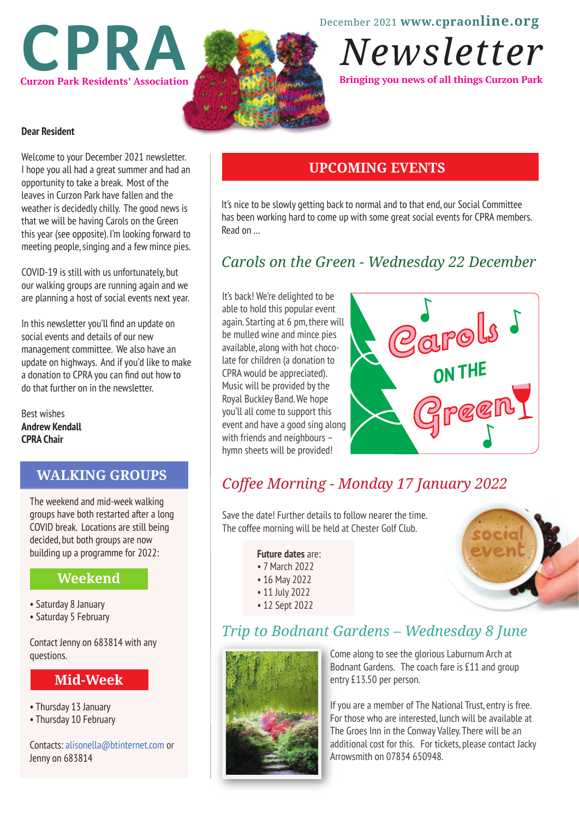December 2021 **www.cpraonline.org**



# Newsletter

**Bringing you news of all things Curzon Park** 

#### **Dear Resident**

Welcome to your December 2021 newsletter. I hope you all had a great summer and had an opportunity to take a break. Most of the leaves in Curzon Park have fallen and the weather is decidedly chilly. The good news is that we will be having Carols on the Green this year (see opposite). I'm looking forward to meeting people, singing and a few mince pies.

COVID-19 is still with us unfortunately, but our walking groups are running again and we are planning a host of social events next year.

In this newsletter you'll find an update on social events and details of our new management committee. We also have an update on highways. And if you'd like to make a donation to CPRA you can find out how to do that further on in the newsletter.

Best wishes **Andrew Kendall CPRA Chair**

#### **WALKING GROUPS**

The weekend and mid-week walking groups have both restarted after a long COVID break. Locations are still being decided, but both groups are now building up a programme for 2022:

#### **Weekend**

- Saturday 8 January
- Saturday 5 February

Contact Jenny on 683814 with any questions.

#### **Mid-Week**

• Thursday 13 January

I

• Thursday 10 February

Contacts: alisonella@btinternet.com or Jenny on 683814

## **UPCOMING EVENTS**

It's nice to be slowly getting back to normal and to that end, our Social Committee has been working hard to come up with some great social events for CPRA members. Read on …

# *Carols on the Green - Wednesday 22 December*

It's back! We're delighted to be able to hold this popular event again. Starting at 6 pm, there will be mulled wine and mince pies available, along with hot chocolate for children (a donation to CPRA would be appreciated). Music will be provided by the Royal Buckley Band. We hope you'll all come to support this event and have a good sing along with friends and neighbours – hymn sheets will be provided!



# *Coffee Morning - Monday 17 January 2022*

Save the date! Further details to follow nearer the time. The coffee morning will be held at Chester Golf Club.

**Future dates** are:

- 7 March 2022
- 16 May 2022
- 11 July 2022
- 12 Sept 2022



# *Trip to Bodnant Gardens – Wednesday 8 June*



Come along to see the glorious Laburnum Arch at Bodnant Gardens. The coach fare is £11 and group entry £13.50 per person.

If you are a member of The National Trust, entry is free. For those who are interested, lunch will be available at The Groes Inn in the Conway Valley. There will be an additional cost for this. For tickets, please contact Jacky Arrowsmith on 07834 650948.